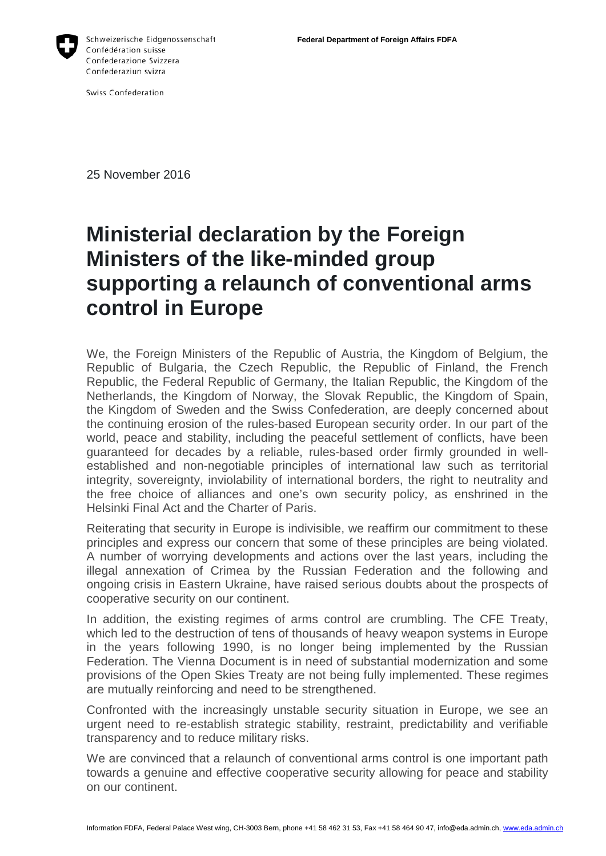

Schweizerische Eidgenossenschaft Confédération suisse Confederazione Svizzera Confederaziun svizra

Swiss Confederation

25 November 2016

## **Ministerial declaration by the Foreign Ministers of the like-minded group supporting a relaunch of conventional arms control in Europe**

We, the Foreign Ministers of the Republic of Austria, the Kingdom of Belgium, the Republic of Bulgaria, the Czech Republic, the Republic of Finland, the French Republic, the Federal Republic of Germany, the Italian Republic, the Kingdom of the Netherlands, the Kingdom of Norway, the Slovak Republic, the Kingdom of Spain, the Kingdom of Sweden and the Swiss Confederation, are deeply concerned about the continuing erosion of the rules-based European security order. In our part of the world, peace and stability, including the peaceful settlement of conflicts, have been guaranteed for decades by a reliable, rules-based order firmly grounded in wellestablished and non-negotiable principles of international law such as territorial integrity, sovereignty, inviolability of international borders, the right to neutrality and the free choice of alliances and one's own security policy, as enshrined in the Helsinki Final Act and the Charter of Paris.

Reiterating that security in Europe is indivisible, we reaffirm our commitment to these principles and express our concern that some of these principles are being violated. A number of worrying developments and actions over the last years, including the illegal annexation of Crimea by the Russian Federation and the following and ongoing crisis in Eastern Ukraine, have raised serious doubts about the prospects of cooperative security on our continent.

In addition, the existing regimes of arms control are crumbling. The CFE Treaty, which led to the destruction of tens of thousands of heavy weapon systems in Europe in the years following 1990, is no longer being implemented by the Russian Federation. The Vienna Document is in need of substantial modernization and some provisions of the Open Skies Treaty are not being fully implemented. These regimes are mutually reinforcing and need to be strengthened.

Confronted with the increasingly unstable security situation in Europe, we see an urgent need to re-establish strategic stability, restraint, predictability and verifiable transparency and to reduce military risks.

We are convinced that a relaunch of conventional arms control is one important path towards a genuine and effective cooperative security allowing for peace and stability on our continent.